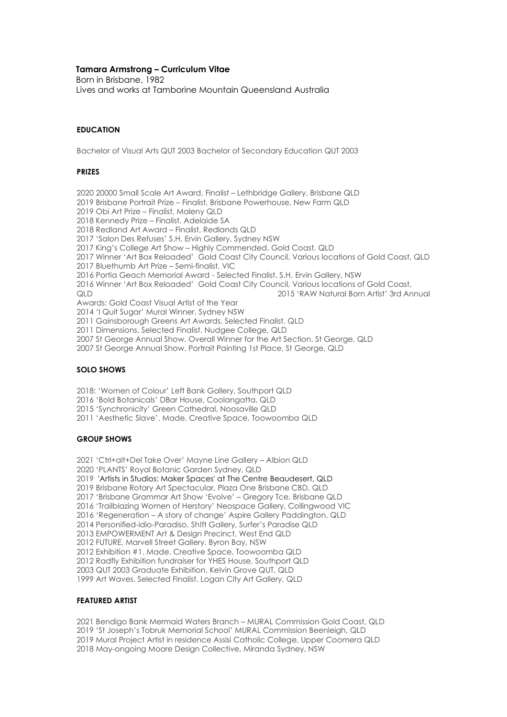## **Tamara Armstrong – Curriculum Vitae**

Born in Brisbane, 1982 Lives and works at Tamborine Mountain Queensland Australia

## **EDUCATION**

Bachelor of Visual Arts QUT 2003 Bachelor of Secondary Education QUT 2003

#### **PRIZES**

2020 20000 Small Scale Art Award, Finalist – Lethbridge Gallery, Brisbane QLD 2019 Brisbane Portrait Prize – Finalist, Brisbane Powerhouse, New Farm QLD

2019 Obi Art Prize – Finalist, Maleny QLD

2018 Kennedy Prize – Finalist, Adelaide SA

2018 Redland Art Award – Finalist, Redlands QLD

2017 'Salon Des Refuses' S.H. Ervin Gallery, Sydney NSW

2017 King's College Art Show – Highly Commended. Gold Coast, QLD

2017 Winner 'Art Box Reloaded' Gold Coast City Council, Various locations of Gold Coast, QLD 2017 Bluethumb Art Prize – Semi-finalist, VIC

2016 Portia Geach Memorial Award - Selected Finalist. S.H. Ervin Gallery, NSW

2016 Winner 'Art Box Reloaded' Gold Coast City Council, Various locations of Gold Coast, QLD 2015 'RAW Natural Born Artist' 3rd Annual

Awards: Gold Coast Visual Artist of the Year

2014 'I Quit Sugar' Mural Winner, Sydney NSW

2011 Gainsborough Greens Art Awards. Selected Finalist. QLD

2011 Dimensions. Selected Finalist. Nudgee College, QLD

2007 St George Annual Show. Overall Winner for the Art Section. St George, QLD

2007 St George Annual Show. Portrait Painting 1st Place, St George, QLD

### **SOLO SHOWS**

2018: 'Women of Colour' Left Bank Gallery, Southport QLD

2016 'Bold Botanicals' DBar House, Coolangatta, QLD

2015 'Synchronicity' Green Cathedral, Noosaville QLD

2011 'Aesthetic Slave'. Made. Creative Space, Toowoomba QLD

#### **GROUP SHOWS**

2021 'Ctrl+alt+Del Take Over' Mayne Line Gallery – Albion QLD

2020 'PLANTS' Royal Botanic Garden Sydney, QLD

2019 'Artists in Studios: Maker Spaces' at The Centre Beaudesert, QLD

2019 Brisbane Rotary Art Spectacular, Plaza One Brisbane CBD, QLD

2017 'Brisbane Grammar Art Show 'Evolve' – Gregory Tce, Brisbane QLD

2016 'Trailblazing Women of Herstory' Neospace Gallery, Collingwood VIC

2016 'Regeneration – A story of change' Aspire Gallery Paddington, QLD

2014 Personified-idio-Paradiso. Sh!ft Gallery, Surfer's Paradise QLD

2013 EMPOWERMENT Art & Design Precinct, West End QLD

2012 FUTURE. Marvell Street Gallery. Byron Bay, NSW

2012 Exhibition #1. Made. Creative Space, Toowoomba QLD

2012 Radfly Exhibition fundraiser for YHES House, Southport QLD

2003 QUT 2003 Graduate Exhibition. Kelvin Grove QUT, QLD

1999 Art Waves. Selected Finalist. Logan City Art Gallery, QLD

# **FEATURED ARTIST**

2021 Bendigo Bank Mermaid Waters Branch – MURAL Commission Gold Coast, QLD

2019 'St Joseph's Tobruk Memorial School' MURAL Commission Beenleigh, QLD

2019 Mural Project Artist in residence Assisi Catholic College, Upper Coomera QLD

2018 May-ongoing Moore Design Collective, Miranda Sydney, NSW